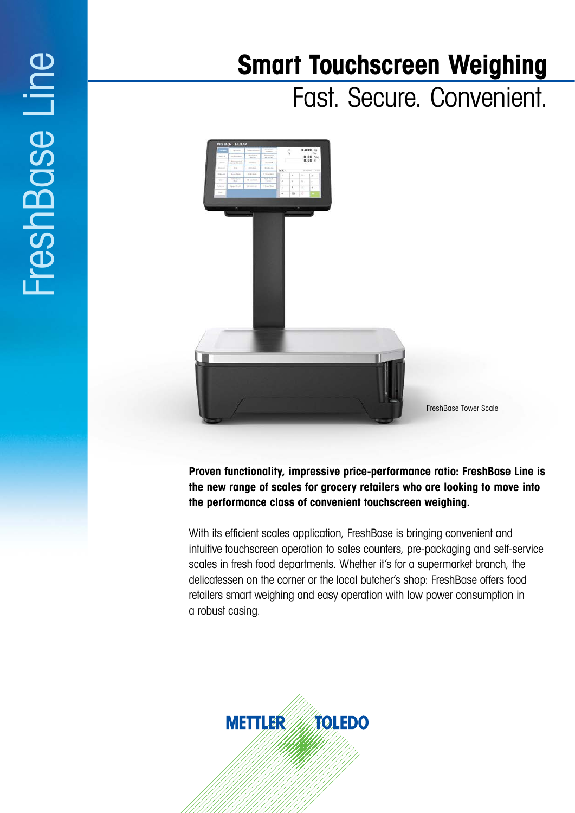# FreshBase Line FreshBase Line

# **Smart Touchscreen Weighing**

Fast. Secure. Convenient.



**Proven functionality, impressive price-performance ratio: FreshBase Line is the new range of scales for grocery retailers who are looking to move into the performance class of convenient touchscreen weighing.**

With its efficient scales application, FreshBase is bringing convenient and intuitive touchscreen operation to sales counters, pre-packaging and self-service scales in fresh food departments. Whether it's for a supermarket branch, the delicatessen on the corner or the local butcher's shop: FreshBase offers food retailers smart weighing and easy operation with low power consumption in a robust casing.

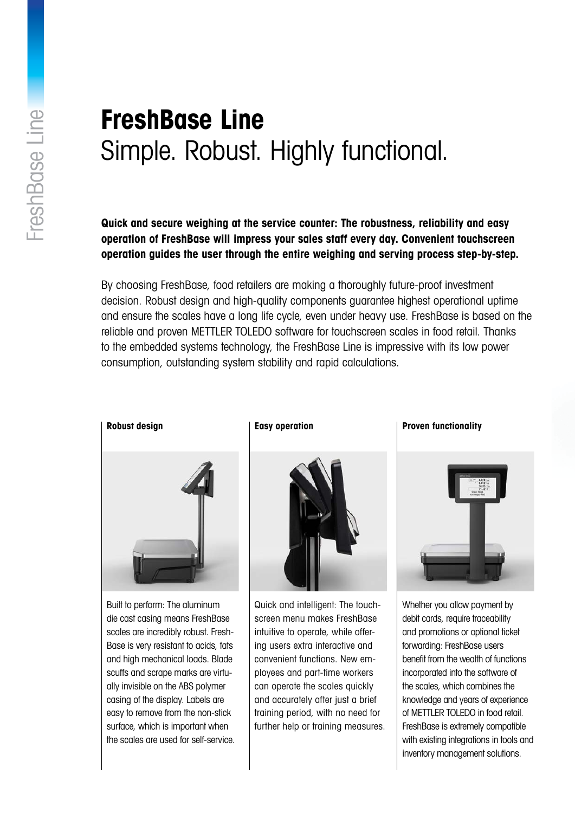# **FreshBase Line** Simple. Robust. Highly functional.

**Quick and secure weighing at the service counter: The robustness, reliability and easy operation of FreshBase will impress your sales staff every day. Convenient touchscreen operation guides the user through the entire weighing and serving process step-by-step.**

By choosing FreshBase, food retailers are making a thoroughly future-proof investment decision. Robust design and high-quality components guarantee highest operational uptime and ensure the scales have a long life cycle, even under heavy use. FreshBase is based on the reliable and proven METTLER TOLEDO software for touchscreen scales in food retail. Thanks to the embedded systems technology, the FreshBase Line is impressive with its low power consumption, outstanding system stability and rapid calculations.



Built to perform: The aluminum die cast casing means FreshBase scales are incredibly robust. Fresh-Base is very resistant to acids, fats and high mechanical loads. Blade scuffs and scrape marks are virtually invisible on the ABS polymer casing of the display. Labels are easy to remove from the non-stick surface, which is important when the scales are used for self-service.

## **Easy operation**



Quick and intelligent: The touchscreen menu makes FreshBase intuitive to operate, while offering users extra interactive and convenient functions. New employees and part-time workers can operate the scales quickly and accurately after just a brief training period, with no need for further help or training measures.

### **Proven functionality**



Whether you allow payment by debit cards, require traceability and promotions or optional ticket forwarding: FreshBase users benefit from the wealth of functions incorporated into the software of the scales, which combines the knowledge and years of experience of METTLER TOLEDO in food retail. FreshBase is extremely compatible with existing integrations in tools and inventory management solutions.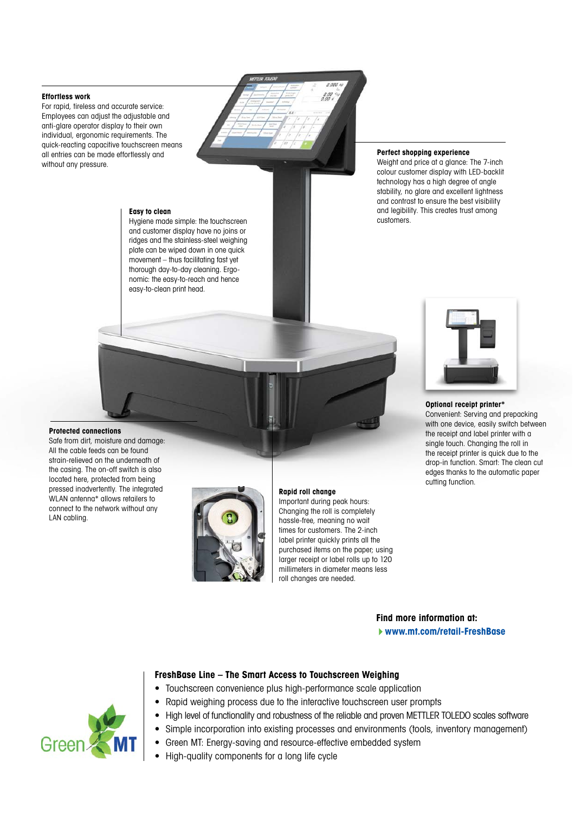#### **Effortless work**

For rapid, tireless and accurate service: Employees can adjust the adjustable and anti-glare operator display to their own individual, ergonomic requirements. The quick-reacting capacitive touchscreen means all entries can be made effortlessly and without any pressure.

#### **Easy to clean**

Hygiene made simple: the touchscreen and customer display have no joins or ridges and the stainless-steel weighing plate can be wiped down in one quick movement – thus facilitating fast yet thorough day-to-day cleaning. Ergonomic: the easy-to-reach and hence easy-to-clean print head.

#### **Perfect shopping experience**

Weight and price at a glance: The 7-inch colour customer display with LED-backlit technology has a high degree of angle stability, no glare and excellent lightness and contrast to ensure the best visibility and legibility. This creates trust among customers.



#### **Optional receipt printer\***

Convenient: Serving and prepacking with one device, easily switch between the receipt and label printer with a single touch. Changing the roll in the receipt printer is quick due to the drop-in function. Smart: The clean cut edges thanks to the automatic paper cutting function.

#### **Protected connections**

Safe from dirt, moisture and damage: All the cable feeds can be found strain-relieved on the underneath of the casing. The on-off switch is also located here, protected from being pressed inadvertently. The integrated WLAN antenna\* allows retailers to connect to the network without any LAN cabling.



#### **Rapid roll change**

Important during peak hours: Changing the roll is completely hassle-free, meaning no wait times for customers. The 2-inch label printer quickly prints all the purchased items on the paper; using larger receipt or label rolls up to 120 millimeters in diameter means less roll changes are needed.

**Find more information at:**

 **www.mt.com/retail-FreshBase**



## **FreshBase Line – The Smart Access to Touchscreen Weighing**

- Touchscreen convenience plus high-performance scale application
- Rapid weighing process due to the interactive touchscreen user prompts
- High level of functionality and robustness of the reliable and proven METTLER TOLEDO scales software
- Simple incorporation into existing processes and environments (tools, inventory management)
- Green MT: Energy-saving and resource-effective embedded system
- High-quality components for a long life cycle